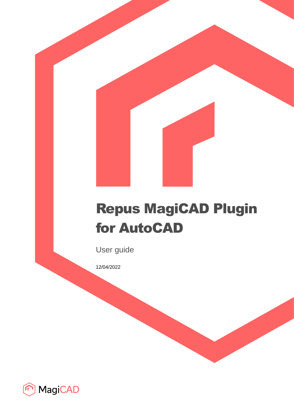# Repus MagiCAD Plugin for AutoCAD

User guide

12/04/2022

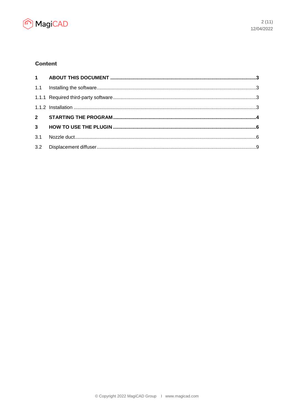

# **Content**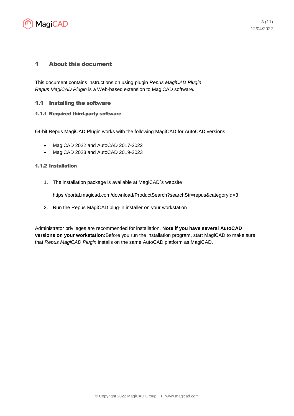

## 1 About this document

This document contains instructions on using plugin *Repus MagiCAD Plugin*. *Repus MagiCAD Plugin* is a Web-based extension to MagiCAD software.

#### 1.1 Installing the software

#### 1.1.1 Required third-party software

64-bit Repus MagiCAD Plugin works with the following MagiCAD for AutoCAD versions

- MagiCAD 2022 and AutoCAD 2017-2022
- MagiCAD 2023 and AutoCAD 2019-2023

#### 1.1.2 Installation

1. The installation package is available at MagiCAD´s website

https://portal.magicad.com/download/ProductSearch?searchStr=repus&categoryId=3

2. Run the Repus MagiCAD plug-in installer on your workstation

Administrator privileges are recommended for installation. **Note if you have several AutoCAD versions on your workstation:**Before you run the installation program, start MagiCAD to make sure that *Repus MagiCAD Plugin* installs on the same AutoCAD platform as MagiCAD.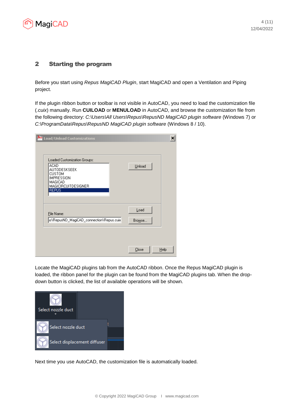

## 2 Starting the program

Before you start using *Repus MagiCAD Plugin*, start MagiCAD and open a Ventilation and Piping project.

If the plugin ribbon button or toolbar is not visible in AutoCAD, you need to load the customization file (*.cuix*) manually. Run **CUILOAD** or **MENULOAD** in AutoCAD, and browse the customization file from the following directory: *C:\Users\All Users\Repus\RepusND MagiCAD plugin software* (Windows 7) or *C:\ProgramData\Repus\RepusND MagiCAD plugin software* (Windows 8 / 10).

| A <sup>10</sup> Load/Unload Customizations                                                                                                          | ×                |
|-----------------------------------------------------------------------------------------------------------------------------------------------------|------------------|
| Loaded Customization Groups:<br><b>ACAD</b><br>AUTODESKSEEK<br><b>CUSTOM</b><br><b>IMPRESSION</b><br>MAGICAD<br>MAGICIRCUITDESIGNER<br><b>REPUS</b> | Unload           |
| File Name:<br>as\RepusND_MagiCAD_connection\Repus.cuix                                                                                              | Load<br>Browse   |
|                                                                                                                                                     | Close<br>$He$ lp |

Locate the MagiCAD plugins tab from the AutoCAD ribbon. Once the Repus MagiCAD plugin is loaded, the ribbon panel for the plugin can be found from the MagiCAD plugins tab. When the dropdown button is clicked, the list of available operations will be shown.



Next time you use AutoCAD, the customization file is automatically loaded.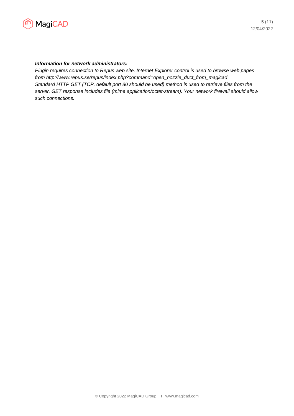

#### *Information for network administrators:*

*Plugin requires connection to Repus web site. Internet Explorer control is used to browse web pages from http://www.repus.se/repus/index.php?command=open\_nozzle\_duct\_from\_magicad Standard HTTP GET (TCP, default port 80 should be used) method is used to retrieve files from the server. GET response includes file (mime application/octet-stream). Your network firewall should allow such connections.*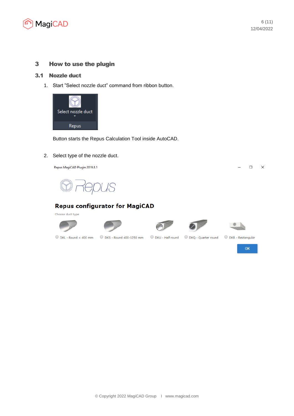

## 3 How to use the plugin

#### 3.1 Nozzle duct

1. Start "Select nozzle duct" command from ribbon button.



Button starts the Repus Calculation Tool inside AutoCAD.

2. Select type of the nozzle duct.

Repus MagiCAD Plugin 2019.8.1

 $\Box$  $\times$ 



# **Repus configurator for MagiCAD**

Choose duct type

O DKL - Round < 400 mm





DKU - Half round



 $\bigcirc$  DKQ - Quarter round



**OK**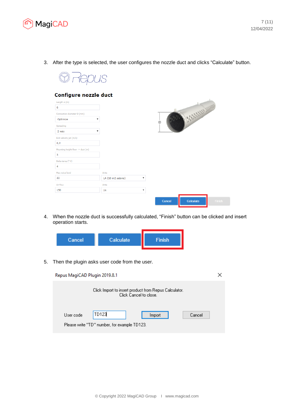

3. After the type is selected, the user configures the nozzle duct and clicks "Calculate" button.



## Configure nozzle duct

| Length A (m)<br>6                     |                                  |        | <b>CONSULTANT ANNOUN</b> |        |
|---------------------------------------|----------------------------------|--------|--------------------------|--------|
| Connection diameter D (mm)            |                                  |        |                          |        |
| Optimize<br>$\boldsymbol{\mathrm{v}}$ |                                  | D      |                          |        |
| Spreading                             |                                  |        |                          |        |
| v<br>2 way                            |                                  |        |                          |        |
| End velocity jet (m/s)                |                                  |        |                          |        |
| 0,2                                   |                                  |        |                          |        |
| Mounting height floor -> duct (m)     |                                  |        |                          |        |
| 3                                     |                                  |        |                          |        |
| Delta temp (°C)                       |                                  |        |                          |        |
| $\overline{4}$                        |                                  |        |                          |        |
| Max noice level                       | <b>Units</b>                     |        |                          |        |
| 30                                    | LA (10 m2 sabine)<br>v           |        |                          |        |
| Air flow                              | <b>Units</b>                     |        |                          |        |
| 150                                   | 1/s<br>$\boldsymbol{\mathrm{v}}$ |        |                          |        |
|                                       |                                  |        |                          |        |
|                                       |                                  | Cancel | Calculate                | Finish |

4. When the nozzle duct is successfully calculated, "Finish" button can be clicked and insert operation starts.

| <b>Cancel</b> | <b>Calculate</b> | <b>Finish</b> |
|---------------|------------------|---------------|
|               |                  |               |

5. Then the plugin asks user code from the user.

| Repus MagiCAD Plugin 2019.8.1 |                                                                                 |        |        |  |
|-------------------------------|---------------------------------------------------------------------------------|--------|--------|--|
|                               | Click Import to insert product from Repus Calculator.<br>Click Cancel to close. |        |        |  |
| User code                     | TD123                                                                           | Import | Cancel |  |
|                               | Please write "TD" number, for example TD123.                                    |        |        |  |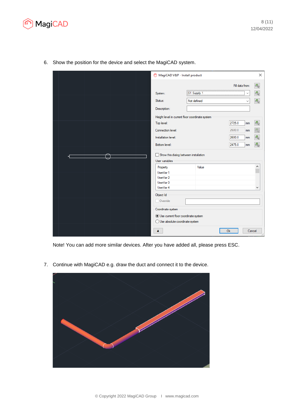

| MagiCAD V&P - Install product                   |             |                 | ×                                    |
|-------------------------------------------------|-------------|-----------------|--------------------------------------|
|                                                 |             | Fill data from: |                                      |
| System:                                         | S1 Supply 1 | $\checkmark$    | $\mathbb{G}_{\Bbbk}$                 |
| Status:                                         | Not defined | $\checkmark$    | $\overline{\mathbb{G}_{\mathbb{Q}}}$ |
| Description:                                    |             |                 |                                      |
| Height level in current floor coordinate system |             |                 |                                      |
| Top level:                                      |             | 2725.0<br>mm    | $\mathbb{G}_{\Bbbk}$                 |
| Connection level:                               |             | 2600.0<br>mm    |                                      |
| Installation level:                             |             | 2600.0<br>mm    | $\sigma_{\rm k}$                     |
| Bottom level:                                   |             | 2475.0<br>mm    | $\mathbb{G}_{\Bbbk}$                 |
|                                                 |             |                 |                                      |
| Show this dialog between installation           |             |                 |                                      |
| User variables                                  |             |                 |                                      |
| Property                                        | Value       |                 | ۸                                    |
| UserVar 1<br>UserVar 2                          |             |                 |                                      |
| UserVar 3                                       |             |                 |                                      |
| UserVar 4                                       |             |                 | ٧                                    |
| Object Id                                       |             |                 |                                      |
| Ovemide                                         |             |                 |                                      |
| Coordinate system                               |             |                 |                                      |
| <b>O</b> Use current floor coordinate system    |             |                 |                                      |
| ◯ Use absolute coordinate system                |             |                 |                                      |
| A                                               |             | Ok              | Cancel                               |

6. Show the position for the device and select the MagiCAD system.

Note! You can add more similar devices. After you have added all, please press ESC.

7. Continue with MagiCAD e.g. draw the duct and connect it to the device.

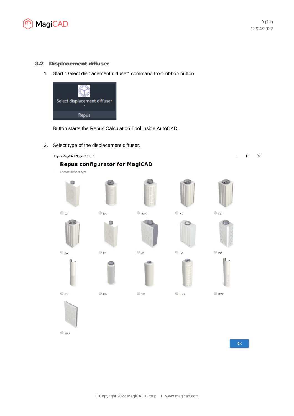

#### 3.2 Displacement diffuser

1. Start "Select displacement diffuser" command from ribbon button.



Button starts the Repus Calculation Tool inside AutoCAD.

2. Select type of the displacement diffuser.

Repus MagiCAD Plugin 2019.8.1  $\Box$  $\times$ **Repus configurator for MagiCAD** Choose diffuser type **Co**  $\circ$  kc  $\bigcirc$  kD  $\odot$  cp  $\bigcirc$  rax  $ORA$  $\odot$  KE  $\odot$  IN  $O$  PD  $@{\scriptsize P}N$  $O_{PA}$  $\odot$  RV  $\bigcirc$  vrx  $ORB$  $\bigcirc$  vr  $\bigcirc$  RVX  $\odot$  INU

 $\alpha$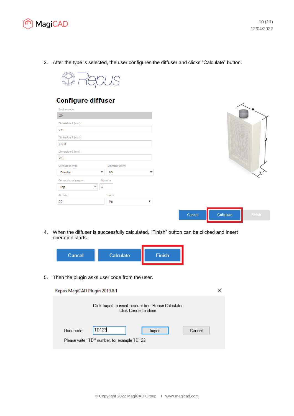

3. After the type is selected, the user configures the diffuser and clicks "Calculate" button.



# **Configure diffuser**

| <b>CP</b>            |              |               |   |
|----------------------|--------------|---------------|---|
| Dimension A (mm)     |              |               |   |
| 750                  |              |               |   |
| Dimension B (mm)     |              |               |   |
| 1650                 |              |               |   |
| Dimension C (mm)     |              |               |   |
| 260                  |              |               |   |
| Connection type      |              | Diameter (mm) |   |
| Circular             | 80<br>▼      |               |   |
| Connection placement | Quantity     |               |   |
| Top<br>v             | 1            |               |   |
| Air flow             | <b>Units</b> |               |   |
| 80                   | 1/s          |               | v |
|                      |              |               |   |





4. When the diffuser is successfully calculated, "Finish" button can be clicked and insert operation starts.



5. Then the plugin asks user code from the user.

| Repus MagiCAD Plugin 2019.8.1                                                   | × |
|---------------------------------------------------------------------------------|---|
| Click Import to insert product from Repus Calculator.<br>Click Cancel to close. |   |
| TD123<br>User code<br>Cancel<br>Import                                          |   |
| Please write "TD" number, for example TD123.                                    |   |